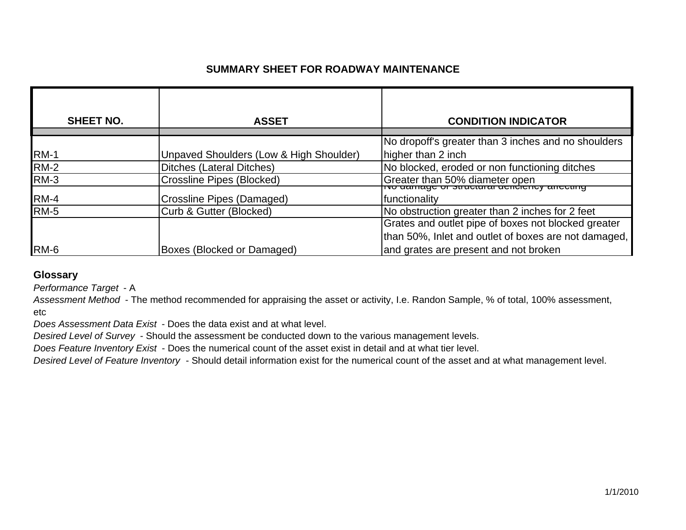### **SUMMARY SHEET FOR ROADWAY MAINTENANCE**

| <b>SHEET NO.</b> | <b>ASSET</b>                            | <b>CONDITION INDICATOR</b>                                                        |
|------------------|-----------------------------------------|-----------------------------------------------------------------------------------|
|                  |                                         | No dropoff's greater than 3 inches and no shoulders                               |
| <b>RM-1</b>      | Unpaved Shoulders (Low & High Shoulder) | higher than 2 inch                                                                |
| <b>RM-2</b>      | Ditches (Lateral Ditches)               | No blocked, eroded or non functioning ditches                                     |
| <b>RM-3</b>      | <b>Crossline Pipes (Blocked)</b>        | Greater than 50% diameter open<br>Two darriage or structural delicities arrecting |
| <b>RM-4</b>      | Crossline Pipes (Damaged)               | functionality                                                                     |
| <b>RM-5</b>      | Curb & Gutter (Blocked)                 | No obstruction greater than 2 inches for 2 feet                                   |
|                  |                                         | Grates and outlet pipe of boxes not blocked greater                               |
|                  |                                         | than 50%, Inlet and outlet of boxes are not damaged,                              |
| RM-6             | Boxes (Blocked or Damaged)              | and grates are present and not broken                                             |

### **Glossary**

*Performance Target* - A

*Assessment Method* - The method recommended for appraising the asset or activity, I.e. Randon Sample, % of total, 100% assessment, etc

*Does Assessment Data Exist* - Does the data exist and at what level.

*Desired Level of Survey* - Should the assessment be conducted down to the various management levels.

*Does Feature Inventory Exist* - Does the numerical count of the asset exist in detail and at what tier level.

*Desired Level of Feature Inventory* - Should detail information exist for the numerical count of the asset and at what management level.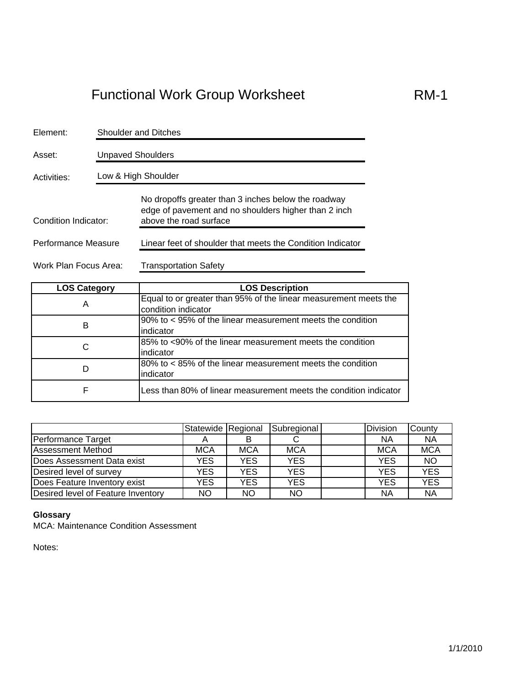| Element:              | <b>Shoulder and Ditches</b> |                                                                                                                                       |  |  |  |  |
|-----------------------|-----------------------------|---------------------------------------------------------------------------------------------------------------------------------------|--|--|--|--|
| Asset:                | <b>Unpaved Shoulders</b>    |                                                                                                                                       |  |  |  |  |
| Activities:           | Low & High Shoulder         |                                                                                                                                       |  |  |  |  |
| Condition Indicator:  |                             | No dropoffs greater than 3 inches below the roadway<br>edge of pavement and no shoulders higher than 2 inch<br>above the road surface |  |  |  |  |
| Performance Measure   |                             | Linear feet of shoulder that meets the Condition Indicator                                                                            |  |  |  |  |
| Work Plan Focus Area: |                             | Transportation Safety                                                                                                                 |  |  |  |  |

| <b>LOS Category</b> | <b>LOS Description</b>                                                                  |
|---------------------|-----------------------------------------------------------------------------------------|
| Α                   | Equal to or greater than 95% of the linear measurement meets the<br>condition indicator |
| в                   | 90% to < 95% of the linear measurement meets the condition<br>indicator                 |
| C                   | 85% to <90% of the linear measurement meets the condition<br>lindicator                 |
| D                   | 80% to < 85% of the linear measurement meets the condition<br>indicator                 |
| F                   | Less than 80% of linear measurement meets the condition indicator                       |

|                                    | Statewide Regional |            | Subregional | <b>Division</b> | County     |
|------------------------------------|--------------------|------------|-------------|-----------------|------------|
| Performance Target                 |                    |            |             | ΝA              | <b>NA</b>  |
| <b>Assessment Method</b>           | <b>MCA</b>         | <b>MCA</b> | <b>MCA</b>  | <b>MCA</b>      | <b>MCA</b> |
| Does Assessment Data exist         | YES                | <b>YES</b> | <b>YES</b>  | <b>YES</b>      | NO         |
| Desired level of survey            | YES                | <b>YES</b> | <b>YES</b>  | <b>YES</b>      | <b>YES</b> |
| Does Feature Inventory exist       | <b>YES</b>         | <b>YES</b> | <b>YES</b>  | <b>YES</b>      | <b>YES</b> |
| Desired level of Feature Inventory | <b>NO</b>          | <b>NO</b>  | <b>NO</b>   | <b>NA</b>       | <b>NA</b>  |

### **Glossary**

MCA: Maintenance Condition Assessment

Notes: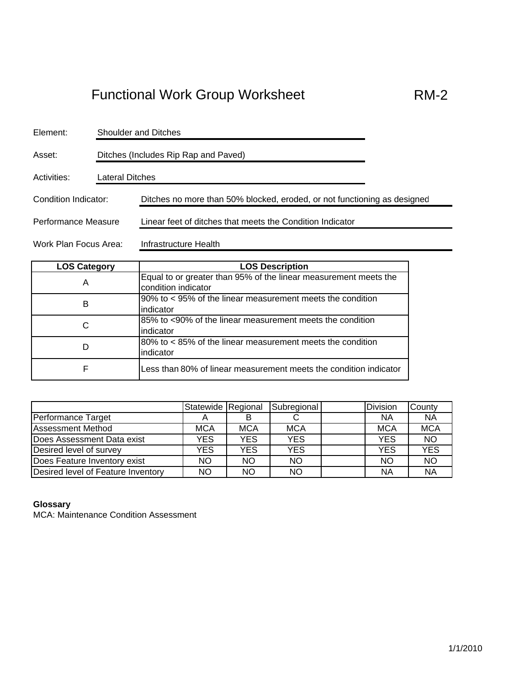| Element:                                       | <b>Shoulder and Ditches</b>          |                                                                          |  |  |  |
|------------------------------------------------|--------------------------------------|--------------------------------------------------------------------------|--|--|--|
| Asset:                                         | Ditches (Includes Rip Rap and Paved) |                                                                          |  |  |  |
| Activities:                                    |                                      | Lateral Ditches                                                          |  |  |  |
| Condition Indicator:                           |                                      | Ditches no more than 50% blocked, eroded, or not functioning as designed |  |  |  |
| Performance Measure                            |                                      | Linear feet of ditches that meets the Condition Indicator                |  |  |  |
| Work Plan Focus Area:<br>Infrastructure Health |                                      |                                                                          |  |  |  |

| <b>LOS Category</b> | <b>LOS Description</b>                                                                  |
|---------------------|-----------------------------------------------------------------------------------------|
| Α                   | Equal to or greater than 95% of the linear measurement meets the<br>condition indicator |
| в                   | 90% to < 95% of the linear measurement meets the condition<br>lindicator                |
| C                   | 85% to <90% of the linear measurement meets the condition<br>indicator                  |
| D                   | 80% to < 85% of the linear measurement meets the condition<br>indicator                 |
| F                   | Less than 80% of linear measurement meets the condition indicator                       |

|                                    | Statewide Regional |            | Subregional | <b>Division</b> | County     |
|------------------------------------|--------------------|------------|-------------|-----------------|------------|
| Performance Target                 |                    |            |             | ΝA              | <b>NA</b>  |
| <b>Assessment Method</b>           | <b>MCA</b>         | <b>MCA</b> | <b>MCA</b>  | <b>MCA</b>      | <b>MCA</b> |
| Does Assessment Data exist         | YES                | YES        | <b>YES</b>  | <b>YES</b>      | <b>NO</b>  |
| Desired level of survey            | YES                | YES        | <b>YES</b>  | <b>YES</b>      | <b>YES</b> |
| Does Feature Inventory exist       | <b>NO</b>          | <b>NO</b>  | <b>NO</b>   | <b>NO</b>       | <b>NO</b>  |
| Desired level of Feature Inventory | NO                 | <b>NO</b>  | NO          | NA              | <b>NA</b>  |

#### **Glossary**

MCA: Maintenance Condition Assessment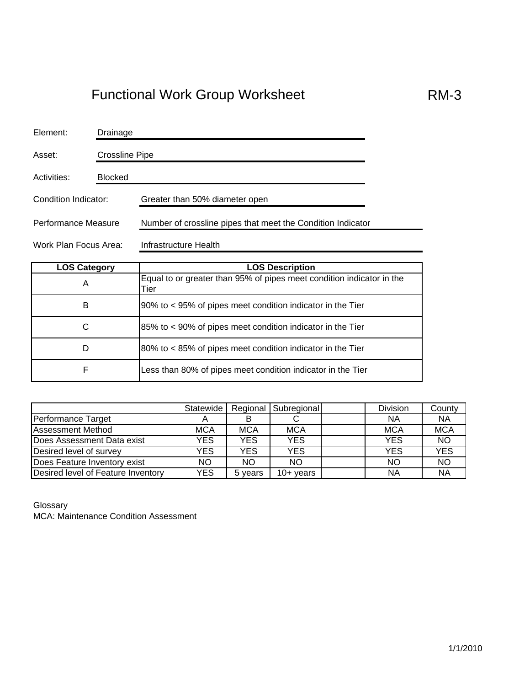| Element:              | Drainage       |                                                             |  |  |
|-----------------------|----------------|-------------------------------------------------------------|--|--|
| Asset:                | Crossline Pipe |                                                             |  |  |
| Activities:           | <b>Blocked</b> |                                                             |  |  |
| Condition Indicator:  |                | Greater than 50% diameter open                              |  |  |
| Performance Measure   |                | Number of crossline pipes that meet the Condition Indicator |  |  |
| Work Plan Focus Area: |                | Infrastructure Health                                       |  |  |

| <b>LOS Category</b> | <b>LOS Description</b>                                                        |
|---------------------|-------------------------------------------------------------------------------|
| Α                   | Equal to or greater than 95% of pipes meet condition indicator in the<br>Tier |
| в                   | 90% to < 95% of pipes meet condition indicator in the Tier                    |
| С                   | 85% to < 90% of pipes meet condition indicator in the Tier                    |
| D                   | 80% to < 85% of pipes meet condition indicator in the Tier                    |
| F                   | Less than 80% of pipes meet condition indicator in the Tier                   |

|                                    | Statewide  |            | Regional Subregional | <b>Division</b> | County     |
|------------------------------------|------------|------------|----------------------|-----------------|------------|
| Performance Target                 |            |            |                      | ΝA              | <b>NA</b>  |
| <b>Assessment Method</b>           | <b>MCA</b> | <b>MCA</b> | <b>MCA</b>           | <b>MCA</b>      | <b>MCA</b> |
| Does Assessment Data exist         | <b>YES</b> | YES.       | <b>YES</b>           | <b>YES</b>      | NO         |
| Desired level of survey            | YES        | YES.       | <b>YES</b>           | YES             | <b>YES</b> |
| Does Feature Inventory exist       | NO.        | ΝO         | ΝO                   | NO              | <b>NO</b>  |
| Desired level of Feature Inventory | YES        | 5 years    | 10+ years            | NA              | <b>NA</b>  |

Glossary MCA: Maintenance Condition Assessment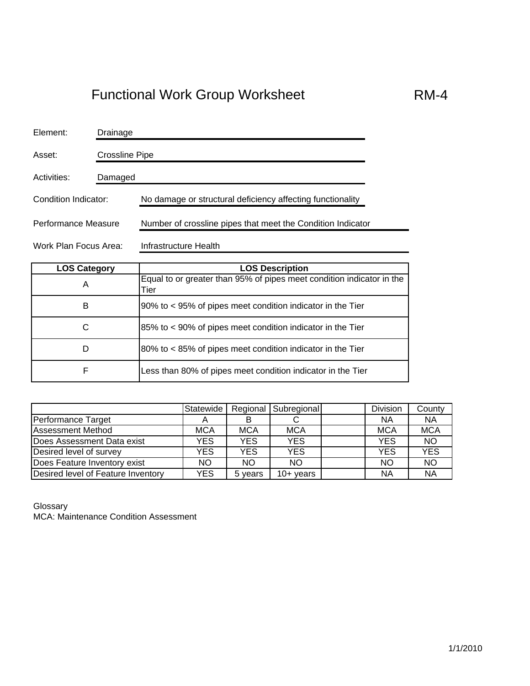| Element:              | Drainage |                                                             |  |  |  |
|-----------------------|----------|-------------------------------------------------------------|--|--|--|
| Asset:                |          | <b>Crossline Pipe</b>                                       |  |  |  |
| Activities:           | Damaged  |                                                             |  |  |  |
| Condition Indicator:  |          | No damage or structural deficiency affecting functionality  |  |  |  |
| Performance Measure   |          | Number of crossline pipes that meet the Condition Indicator |  |  |  |
| Work Plan Focus Area: |          | Infrastructure Health                                       |  |  |  |

| <b>LOS Category</b> | <b>LOS Description</b>                                                        |
|---------------------|-------------------------------------------------------------------------------|
| A                   | Equal to or greater than 95% of pipes meet condition indicator in the<br>Tier |
| B                   | 90% to < 95% of pipes meet condition indicator in the Tier                    |
| С                   | 85% to < 90% of pipes meet condition indicator in the Tier                    |
| D                   | 80% to < 85% of pipes meet condition indicator in the Tier                    |
| F                   | Less than 80% of pipes meet condition indicator in the Tier                   |

|                                    | Statewide  |            | Regional Subregional | Division   | County     |
|------------------------------------|------------|------------|----------------------|------------|------------|
| Performance Target                 |            | в          |                      | ΝA         | <b>NA</b>  |
| <b>Assessment Method</b>           | <b>MCA</b> | <b>MCA</b> | <b>MCA</b>           | <b>MCA</b> | <b>MCA</b> |
| Does Assessment Data exist         | YES        | YES        | <b>YES</b>           | <b>YES</b> | <b>NO</b>  |
| Desired level of survey            | <b>YES</b> | YES        | <b>YES</b>           | <b>YES</b> | <b>YES</b> |
| Does Feature Inventory exist       | NO.        | <b>NO</b>  | <b>NO</b>            | <b>NO</b>  | <b>NO</b>  |
| Desired level of Feature Inventory | <b>YES</b> | 5 years    | $10+$ years          | NA         | <b>NA</b>  |

Glossary MCA: Maintenance Condition Assessment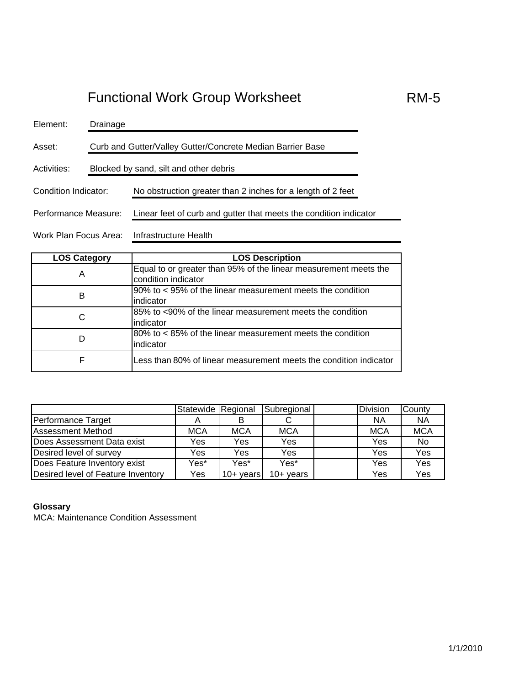| Element:              | Drainage                                                   |                                                                   |  |  |  |  |  |
|-----------------------|------------------------------------------------------------|-------------------------------------------------------------------|--|--|--|--|--|
| Asset:                | Curb and Gutter/Valley Gutter/Concrete Median Barrier Base |                                                                   |  |  |  |  |  |
| Activities:           | Blocked by sand, silt and other debris                     |                                                                   |  |  |  |  |  |
| Condition Indicator:  |                                                            | No obstruction greater than 2 inches for a length of 2 feet       |  |  |  |  |  |
| Performance Measure:  |                                                            | Linear feet of curb and gutter that meets the condition indicator |  |  |  |  |  |
| Work Plan Focus Area: |                                                            | Infrastructure Health                                             |  |  |  |  |  |

| <b>LOS Category</b> | <b>LOS Description</b>                                            |
|---------------------|-------------------------------------------------------------------|
| Α                   | Equal to or greater than 95% of the linear measurement meets the  |
|                     | condition indicator                                               |
| в                   | 90% to < 95% of the linear measurement meets the condition        |
|                     | indicator                                                         |
| C                   | 85% to <90% of the linear measurement meets the condition         |
|                     | lindicator                                                        |
| D                   | $80\%$ to < 85% of the linear measurement meets the condition     |
|                     | indicator                                                         |
| F                   | Less than 80% of linear measurement meets the condition indicator |

|                                    | Statewide Regional |             | Subregional | <b>Division</b> | County     |
|------------------------------------|--------------------|-------------|-------------|-----------------|------------|
| Performance Target                 |                    |             | ◡           | ΝA              | <b>NA</b>  |
| <b>Assessment Method</b>           | MCA                | <b>MCA</b>  | <b>MCA</b>  | <b>MCA</b>      | <b>MCA</b> |
| Does Assessment Data exist         | Yes                | Yes         | Yes         | Yes             | No         |
| Desired level of survey            | Yes                | Yes         | Yes         | Yes             | Yes        |
| Does Feature Inventory exist       | Yes*               | Yes*        | Yes*        | Yes             | Yes        |
| Desired level of Feature Inventory | Yes                | $10+$ years | $10+$ years | Yes             | Yes        |

#### **Glossary**

MCA: Maintenance Condition Assessment